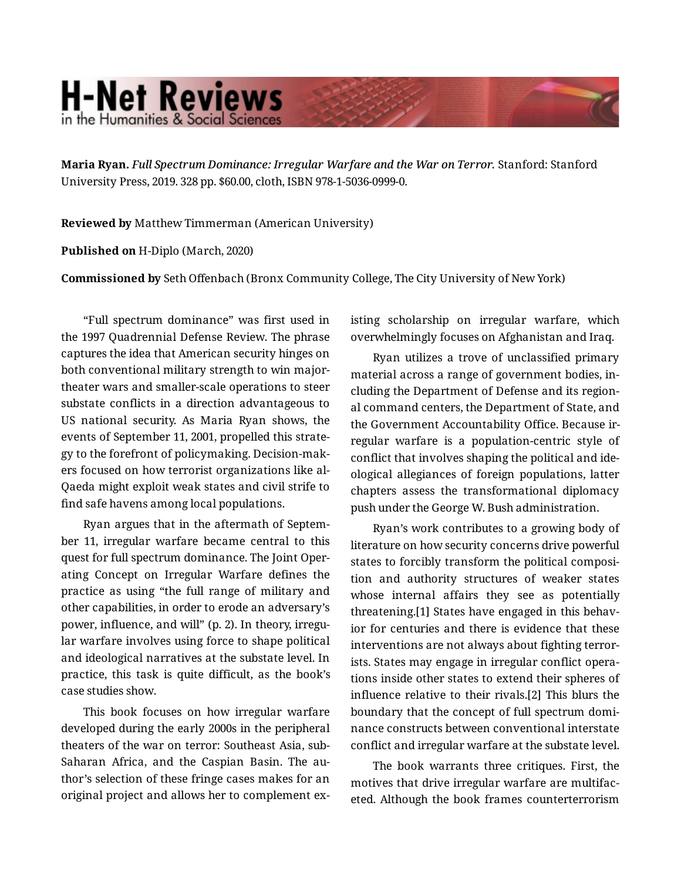## **H-Net Reviews** in the Humanities & Social Sciend

**Maria Ryan.** *Full Spectrum Dominance: Irregular Warfare and the War on Terror.* Stanford: Stanford University Press, 2019. 328 pp. \$60.00, cloth, ISBN 978-1-5036-0999-0.

**Reviewed by** Matthew Timmerman (American University)

**Published on** H-Diplo (March, 2020)

**Commissioned by** Seth Offenbach (Bronx Community College, The City University of New York)

"Full spectrum dominance" was first used in the 1997 Quadrennial Defense Review. The phrase captures the idea that American security hinges on both conventional military strength to win majortheater wars and smaller-scale operations to steer substate conflicts in a direction advantageous to US national security. As Maria Ryan shows, the events of September 11, 2001, propelled this strate‐ gy to the forefront of policymaking. Decision-mak‐ ers focused on how terrorist organizations like al-Qaeda might exploit weak states and civil strife to find safe havens among local populations.

Ryan argues that in the aftermath of Septem‐ ber 11, irregular warfare became central to this quest for full spectrum dominance. The Joint Oper‐ ating Concept on Irregular Warfare defines the practice as using "the full range of military and other capabilities, in order to erode an adversary's power, influence, and will" (p. 2). In theory, irregular warfare involves using force to shape political and ideological narratives at the substate level. In practice, this task is quite difficult, as the book's case studies show.

This book focuses on how irregular warfare developed during the early 2000s in the peripheral theaters of the war on terror: Southeast Asia, sub-Saharan Africa, and the Caspian Basin. The au‐ thor's selection of these fringe cases makes for an original project and allows her to complement ex‐ isting scholarship on irregular warfare, which overwhelmingly focuses on Afghanistan and Iraq.

Ryan utilizes a trove of unclassified primary material across a range of government bodies, in‐ cluding the Department of Defense and its region‐ al command centers, the Department of State, and the Government Accountability Office. Because ir‐ regular warfare is a population-centric style of conflict that involves shaping the political and ide‐ ological allegiances of foreign populations, latter chapters assess the transformational diplomacy push under the George W. Bush administration.

Ryan's work contributes to a growing body of literature on how security concerns drive powerful states to forcibly transform the political composi‐ tion and authority structures of weaker states whose internal affairs they see as potentially threatening.[1] States have engaged in this behav‐ ior for centuries and there is evidence that these interventions are not always about fighting terror‐ ists. States may engage in irregular conflict opera‐ tions inside other states to extend their spheres of influence relative to their rivals.[2] This blurs the boundary that the concept of full spectrum domi‐ nance constructs between conventional interstate conflict and irregular warfare at the substate level.

The book warrants three critiques. First, the motives that drive irregular warfare are multifac‐ eted. Although the book frames counterterrorism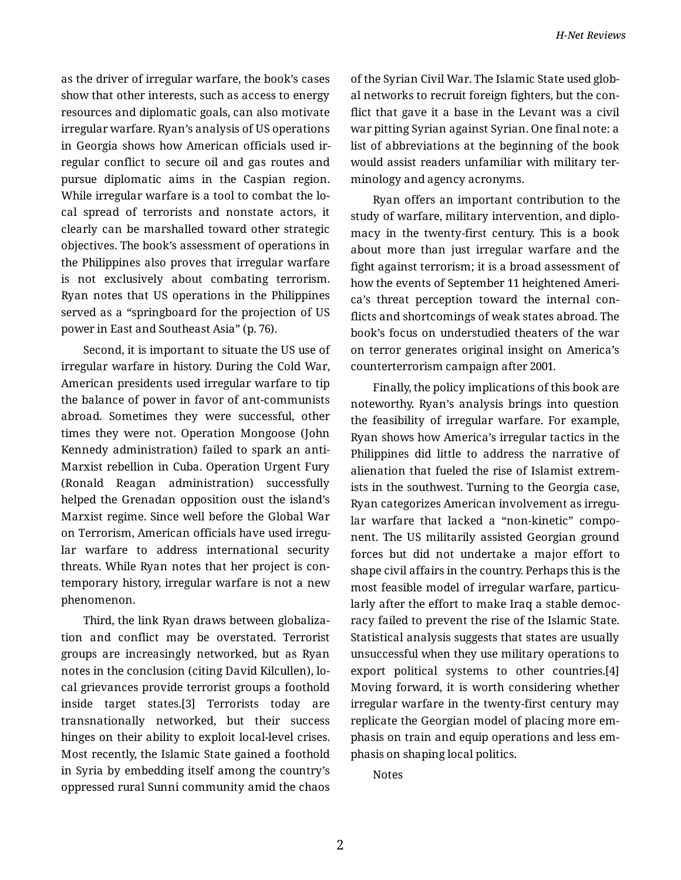as the driver of irregular warfare, the book's cases show that other interests, such as access to energy resources and diplomatic goals, can also motivate irregular warfare. Ryan's analysis of US operations in Georgia shows how American officials used ir‐ regular conflict to secure oil and gas routes and pursue diplomatic aims in the Caspian region. While irregular warfare is a tool to combat the lo‐ cal spread of terrorists and nonstate actors, it clearly can be marshalled toward other strategic objectives. The book's assessment of operations in the Philippines also proves that irregular warfare is not exclusively about combating terrorism. Ryan notes that US operations in the Philippines served as a "springboard for the projection of US power in East and Southeast Asia" (p. 76).

Second, it is important to situate the US use of irregular warfare in history. During the Cold War, American presidents used irregular warfare to tip the balance of power in favor of ant-communists abroad. Sometimes they were successful, other times they were not. Operation Mongoose (John Kennedy administration) failed to spark an anti-Marxist rebellion in Cuba. Operation Urgent Fury (Ronald Reagan administration) successfully helped the Grenadan opposition oust the island's Marxist regime. Since well before the Global War on Terrorism, American officials have used irregular warfare to address international security threats. While Ryan notes that her project is con‐ temporary history, irregular warfare is not a new phenomenon.

Third, the link Ryan draws between globaliza‐ tion and conflict may be overstated. Terrorist groups are increasingly networked, but as Ryan notes in the conclusion (citing David Kilcullen), lo‐ cal grievances provide terrorist groups a foothold inside target states.[3] Terrorists today are transnationally networked, but their success hinges on their ability to exploit local-level crises. Most recently, the Islamic State gained a foothold in Syria by embedding itself among the country's oppressed rural Sunni community amid the chaos

of the Syrian Civil War. The Islamic State used glob‐ al networks to recruit foreign fighters, but the con‐ flict that gave it a base in the Levant was a civil war pitting Syrian against Syrian. One final note: a list of abbreviations at the beginning of the book would assist readers unfamiliar with military ter‐ minology and agency acronyms.

Ryan offers an important contribution to the study of warfare, military intervention, and diplo‐ macy in the twenty-first century. This is a book about more than just irregular warfare and the fight against terrorism; it is a broad assessment of how the events of September 11 heightened Ameri‐ ca's threat perception toward the internal con‐ flicts and shortcomings of weak states abroad. The book's focus on understudied theaters of the war on terror generates original insight on America's counterterrorism campaign after 2001.

Finally, the policy implications of this book are noteworthy. Ryan's analysis brings into question the feasibility of irregular warfare. For example, Ryan shows how America's irregular tactics in the Philippines did little to address the narrative of alienation that fueled the rise of Islamist extrem‐ ists in the southwest. Turning to the Georgia case, Ryan categorizes American involvement as irregu‐ lar warfare that lacked a "non-kinetic" component. The US militarily assisted Georgian ground forces but did not undertake a major effort to shape civil affairs in the country. Perhaps this is the most feasible model of irregular warfare, particularly after the effort to make Iraq a stable democ‐ racy failed to prevent the rise of the Islamic State. Statistical analysis suggests that states are usually unsuccessful when they use military operations to export political systems to other countries.[4] Moving forward, it is worth considering whether irregular warfare in the twenty-first century may replicate the Georgian model of placing more em‐ phasis on train and equip operations and less em‐ phasis on shaping local politics.

Notes